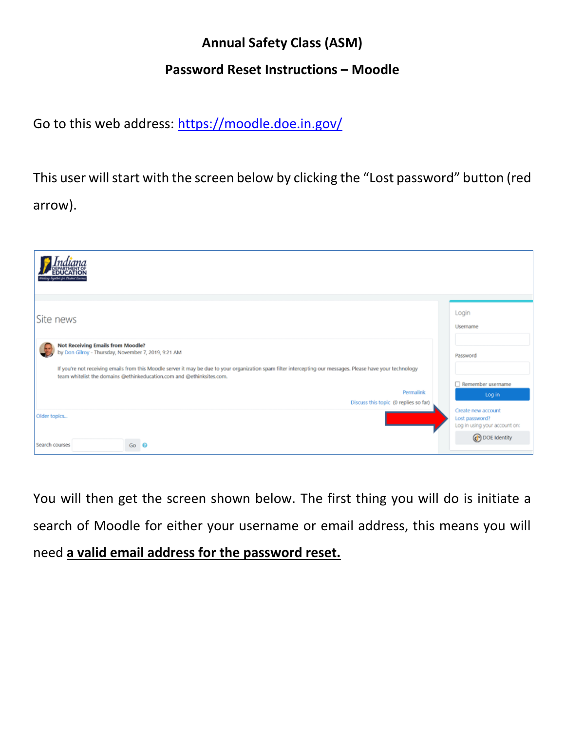## **Annual Safety Class (ASM)**

## **Password Reset Instructions – Moodle**

Go to this web address: <https://moodle.doe.in.gov/>

This user will start with the screen below by clicking the "Lost password" button (red arrow).



You will then get the screen shown below. The first thing you will do is initiate a search of Moodle for either your username or email address, this means you will need **a valid email address for the password reset.**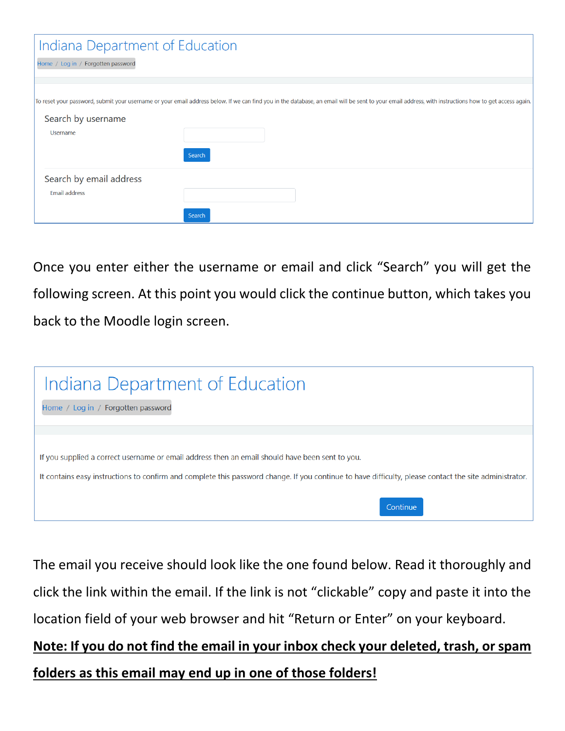| Indiana Department of Education                 |                                                                                                                                                                                                       |
|-------------------------------------------------|-------------------------------------------------------------------------------------------------------------------------------------------------------------------------------------------------------|
| Home / Log in / Forgotten password              |                                                                                                                                                                                                       |
|                                                 |                                                                                                                                                                                                       |
| Search by username<br>Username                  | To reset your password, submit your username or your email address below. If we can find you in the database, an email will be sent to your email address, with instructions how to get access again. |
|                                                 | Search                                                                                                                                                                                                |
| Search by email address<br><b>Email address</b> |                                                                                                                                                                                                       |
|                                                 | Search                                                                                                                                                                                                |

Once you enter either the username or email and click "Search" you will get the following screen. At this point you would click the continue button, which takes you back to the Moodle login screen.



The email you receive should look like the one found below. Read it thoroughly and click the link within the email. If the link is not "clickable" copy and paste it into the location field of your web browser and hit "Return or Enter" on your keyboard.

**Note: If you do not find the email in your inbox check your deleted, trash, or spam folders as this email may end up in one of those folders!**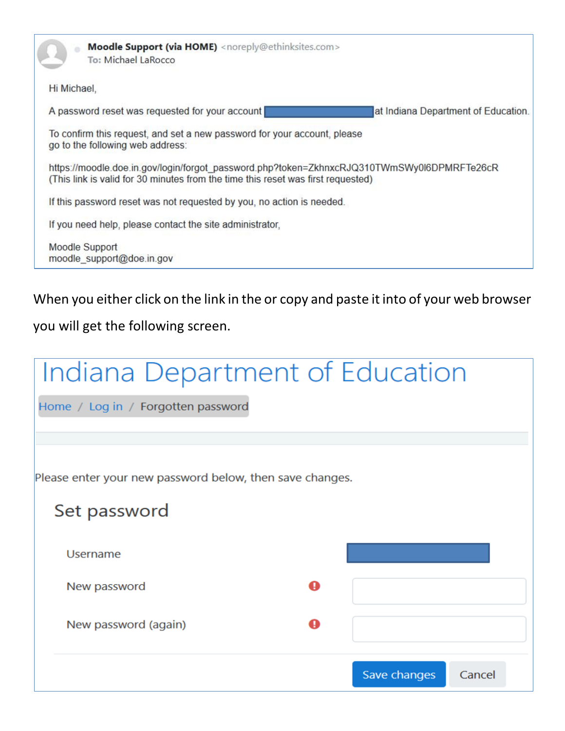

When you either click on the link in the or copy and paste it into of your web browser

you will get the following screen.

|                                                          |   | Save changes | Cancel |
|----------------------------------------------------------|---|--------------|--------|
| New password (again)                                     | A |              |        |
| New password                                             | A |              |        |
| Username                                                 |   |              |        |
| Set password                                             |   |              |        |
| Please enter your new password below, then save changes. |   |              |        |
|                                                          |   |              |        |
| Home / Log in / Forgotten password                       |   |              |        |
| Indiana Department of Education                          |   |              |        |